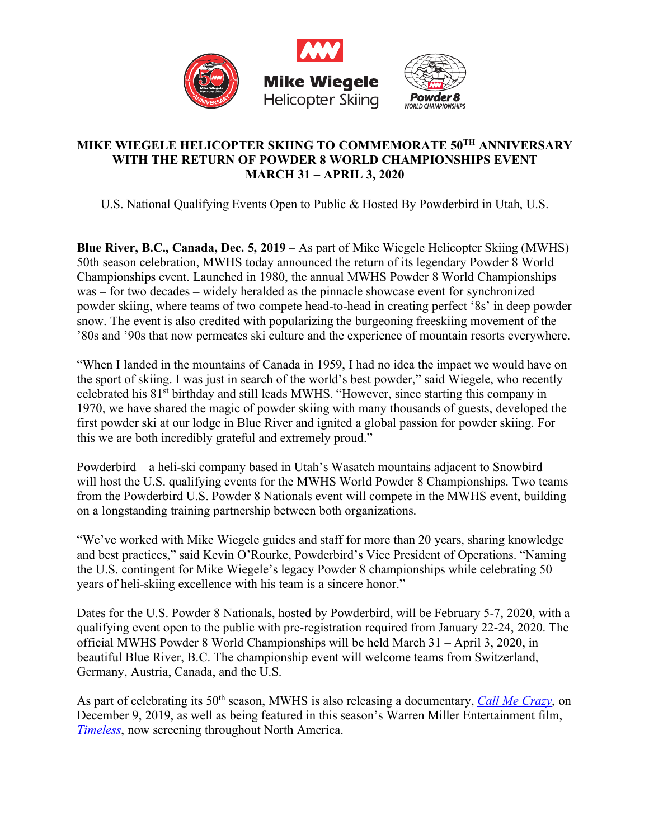

## **MIKE WIEGELE HELICOPTER SKIING TO COMMEMORATE 50TH ANNIVERSARY WITH THE RETURN OF POWDER 8 WORLD CHAMPIONSHIPS EVENT MARCH 31 – APRIL 3, 2020**

U.S. National Qualifying Events Open to Public & Hosted By Powderbird in Utah, U.S.

**Blue River, B.C., Canada, Dec. 5, 2019** – As part of Mike Wiegele Helicopter Skiing (MWHS) 50th season celebration, MWHS today announced the return of its legendary Powder 8 World Championships event. Launched in 1980, the annual MWHS Powder 8 World Championships was – for two decades – widely heralded as the pinnacle showcase event for synchronized powder skiing, where teams of two compete head-to-head in creating perfect '8s' in deep powder snow. The event is also credited with popularizing the burgeoning freeskiing movement of the '80s and '90s that now permeates ski culture and the experience of mountain resorts everywhere.

"When I landed in the mountains of Canada in 1959, I had no idea the impact we would have on the sport of skiing. I was just in search of the world's best powder," said Wiegele, who recently celebrated his 81st birthday and still leads MWHS. "However, since starting this company in 1970, we have shared the magic of powder skiing with many thousands of guests, developed the first powder ski at our lodge in Blue River and ignited a global passion for powder skiing. For this we are both incredibly grateful and extremely proud."

Powderbird – a heli-ski company based in Utah's Wasatch mountains adjacent to Snowbird – will host the U.S. qualifying events for the MWHS World Powder 8 Championships. Two teams from the Powderbird U.S. Powder 8 Nationals event will compete in the MWHS event, building on a longstanding training partnership between both organizations.

"We've worked with Mike Wiegele guides and staff for more than 20 years, sharing knowledge and best practices," said Kevin O'Rourke, Powderbird's Vice President of Operations. "Naming the U.S. contingent for Mike Wiegele's legacy Powder 8 championships while celebrating 50 years of heli-skiing excellence with his team is a sincere honor."

Dates for the U.S. Powder 8 Nationals, hosted by Powderbird, will be February 5-7, 2020, with a qualifying event open to the public with pre-registration required from January 22-24, 2020. The official MWHS Powder 8 World Championships will be held March 31 – April 3, 2020, in beautiful Blue River, B.C. The championship event will welcome teams from Switzerland, Germany, Austria, Canada, and the U.S.

As part of celebrating its 50<sup>th</sup> season, MWHS is also releasing a documentary, *Call Me Crazy*, on December 9, 2019, as well as being featured in this season's Warren Miller Entertainment film, *Timeless*, now screening throughout North America.